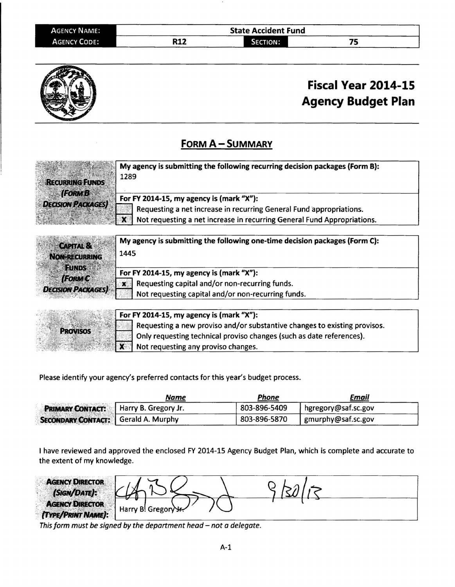| AGENCY NAME:        | <b>State Accident Fund</b> |                 |    |  |
|---------------------|----------------------------|-----------------|----|--|
| <b>AGENCY CODE:</b> | <b>R12</b>                 | <b>SECTION:</b> | -- |  |



## Fiscal Year 2014-15 Agency Budget Plan

## FORM A - SUMMARY

| <b>RECURRING FUNDS</b>                     | My agency is submitting the following recurring decision packages (Form B):<br>1289                                                                                                        |
|--------------------------------------------|--------------------------------------------------------------------------------------------------------------------------------------------------------------------------------------------|
| <b>(FORM B</b><br><b>DECISION PACKAGES</b> | For FY 2014-15, my agency is (mark "X"):<br>Requesting a net increase in recurring General Fund appropriations.<br>Not requesting a net increase in recurring General Fund Appropriations. |

| <b>CAPITAL &amp;</b>     | My agency is submitting the following one-time decision packages (Form C): |
|--------------------------|----------------------------------------------------------------------------|
| <b>NON-RECURRING</b>     | 1445                                                                       |
| <b>FUNDS</b>             | For FY 2014-15, my agency is (mark "X"):                                   |
| <b>(FORM C)</b>          | Requesting capital and/or non-recurring funds.<br>ж                        |
| <b>DECISION PACKAGES</b> | Not requesting capital and/or non-recurring funds.                         |

|                 | For FY 2014-15, my agency is (mark "X"): |                                                                           |
|-----------------|------------------------------------------|---------------------------------------------------------------------------|
|                 |                                          | Requesting a new proviso and/or substantive changes to existing provisos. |
| <b>PROVISOS</b> |                                          | Only requesting technical proviso changes (such as date references).      |
|                 |                                          | $\mathbf{X}$ Not requesting any proviso changes.                          |

Please identify your agency's preferred contacts for this year's budget process.

|                                              | Name | <b>Phone</b> | Email               |  |
|----------------------------------------------|------|--------------|---------------------|--|
| <b>PRIMARY CONTACT:</b> Harry B. Gregory Jr. |      | 803-896-5409 | hgregory@saf.sc.gov |  |
| <b>SECONDARY CONTACT:</b> Gerald A. Murphy   |      | 803-896-5870 | gmurphy@saf.sc.gov  |  |

I have reviewed and approved the enclosed FY 2014-15 Agency Budget Plan, which is complete and accurate to the extent of my knowledge.

| <b>AGENCY DIRECTOR</b><br>(SIGN/DATE):             |                     |  |
|----------------------------------------------------|---------------------|--|
| <b>AGENCY DIRECTOR</b><br><b>TYPE/PRINT NAME):</b> | Harry B! Gregory H. |  |

This form must be signed by the department head- not a delegate.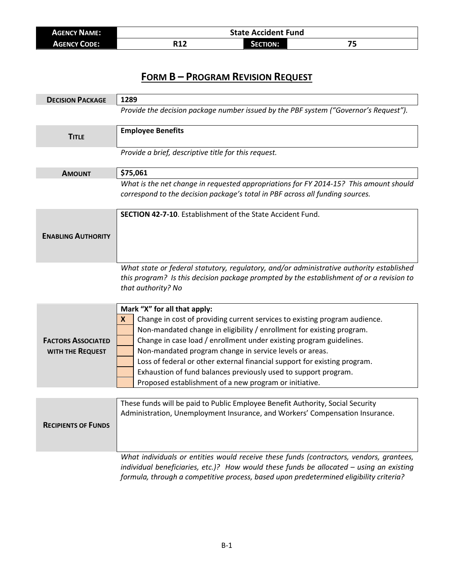| <b>AGENCY NAME:</b> | <b>State Accident Fund</b> |                 |  |
|---------------------|----------------------------|-----------------|--|
| <b>AGENCY CODE:</b> | R12                        | <b>SECTION:</b> |  |

## **FORM B – PROGRAM REVISION REQUEST**

| <b>DECISION PACKAGE</b>    | 1289                                                                                                                                                                                                                                                                           |
|----------------------------|--------------------------------------------------------------------------------------------------------------------------------------------------------------------------------------------------------------------------------------------------------------------------------|
|                            | Provide the decision package number issued by the PBF system ("Governor's Request").                                                                                                                                                                                           |
| <b>TITLE</b>               | <b>Employee Benefits</b>                                                                                                                                                                                                                                                       |
|                            | Provide a brief, descriptive title for this request.                                                                                                                                                                                                                           |
| <b>AMOUNT</b>              | \$75,061                                                                                                                                                                                                                                                                       |
|                            | What is the net change in requested appropriations for FY 2014-15? This amount should<br>correspond to the decision package's total in PBF across all funding sources.                                                                                                         |
|                            | <b>SECTION 42-7-10.</b> Establishment of the State Accident Fund.                                                                                                                                                                                                              |
| <b>ENABLING AUTHORITY</b>  |                                                                                                                                                                                                                                                                                |
|                            | What state or federal statutory, regulatory, and/or administrative authority established<br>this program? Is this decision package prompted by the establishment of or a revision to<br>that authority? No                                                                     |
|                            | Mark "X" for all that apply:                                                                                                                                                                                                                                                   |
|                            | Change in cost of providing current services to existing program audience.<br>X<br>Non-mandated change in eligibility / enrollment for existing program.                                                                                                                       |
| <b>FACTORS ASSOCIATED</b>  | Change in case load / enrollment under existing program guidelines.                                                                                                                                                                                                            |
| WITH THE REQUEST           | Non-mandated program change in service levels or areas.                                                                                                                                                                                                                        |
|                            | Loss of federal or other external financial support for existing program.                                                                                                                                                                                                      |
|                            | Exhaustion of fund balances previously used to support program.                                                                                                                                                                                                                |
|                            | Proposed establishment of a new program or initiative.                                                                                                                                                                                                                         |
| <b>RECIPIENTS OF FUNDS</b> | These funds will be paid to Public Employee Benefit Authority, Social Security<br>Administration, Unemployment Insurance, and Workers' Compensation Insurance.                                                                                                                 |
|                            | What individuals or entities would receive these funds (contractors, vendors, grantees,<br>individual beneficiaries, etc.)? How would these funds be allocated $-$ using an existing<br>formula, through a competitive process, based upon predetermined eligibility criteria? |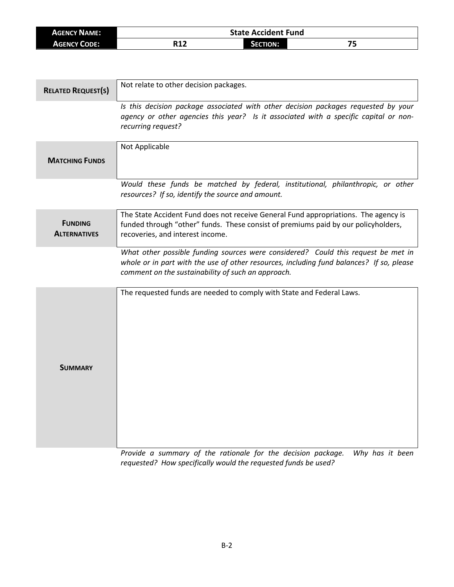| AGENCY NAME:        | <b>State Accident Fund</b> |          |          |
|---------------------|----------------------------|----------|----------|
| <b>AGENCY CODE:</b> | D1 J<br>717                | SECTION: | - 1<br>- |

| <b>RELATED REQUEST(S)</b>             | Not relate to other decision packages.                                                                                                                                                                                              |
|---------------------------------------|-------------------------------------------------------------------------------------------------------------------------------------------------------------------------------------------------------------------------------------|
|                                       | Is this decision package associated with other decision packages requested by your<br>agency or other agencies this year? Is it associated with a specific capital or non-<br>recurring request?                                    |
| <b>MATCHING FUNDS</b>                 | Not Applicable                                                                                                                                                                                                                      |
|                                       | Would these funds be matched by federal, institutional, philanthropic, or other<br>resources? If so, identify the source and amount.                                                                                                |
| <b>FUNDING</b><br><b>ALTERNATIVES</b> | The State Accident Fund does not receive General Fund appropriations. The agency is<br>funded through "other" funds. These consist of premiums paid by our policyholders,<br>recoveries, and interest income.                       |
|                                       | What other possible funding sources were considered? Could this request be met in<br>whole or in part with the use of other resources, including fund balances? If so, please<br>comment on the sustainability of such an approach. |
| <b>SUMMARY</b>                        | The requested funds are needed to comply with State and Federal Laws.                                                                                                                                                               |

*Provide a summary of the rationale for the decision package. Why has it been requested? How specifically would the requested funds be used?*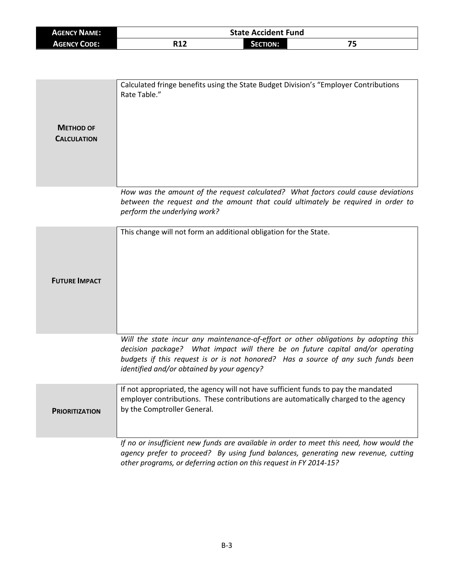| <b>AGENCY NAME:</b> |     | <b>State Accident Fund</b> |    |  |
|---------------------|-----|----------------------------|----|--|
| <b>AGENCY CODE:</b> | R12 | <b>SECTION:</b>            | 75 |  |

| <b>METHOD OF</b><br><b>CALCULATION</b> | Calculated fringe benefits using the State Budget Division's "Employer Contributions<br>Rate Table."                                                                                                  |
|----------------------------------------|-------------------------------------------------------------------------------------------------------------------------------------------------------------------------------------------------------|
|                                        | How was the amount of the request calculated? What factors could cause deviations<br>between the request and the amount that could ultimately be required in order to<br>perform the underlying work? |
|                                        | This change will not form an additional obligation for the State.                                                                                                                                     |

**FUTURE IMPACT**

*Will the state incur any maintenance-of-effort or other obligations by adopting this decision package? What impact will there be on future capital and/or operating budgets if this request is or is not honored? Has a source of any such funds been identified and/or obtained by your agency?*

| <b>PRIORITIZATION</b> | If not appropriated, the agency will not have sufficient funds to pay the mandated<br>employer contributions. These contributions are automatically charged to the agency<br>by the Comptroller General. |
|-----------------------|----------------------------------------------------------------------------------------------------------------------------------------------------------------------------------------------------------|
|                       | If no or insufficient new funds are available in order to meet this need, how would the                                                                                                                  |

*agency prefer to proceed? By using fund balances, generating new revenue, cutting other programs, or deferring action on this request in FY 2014-15?*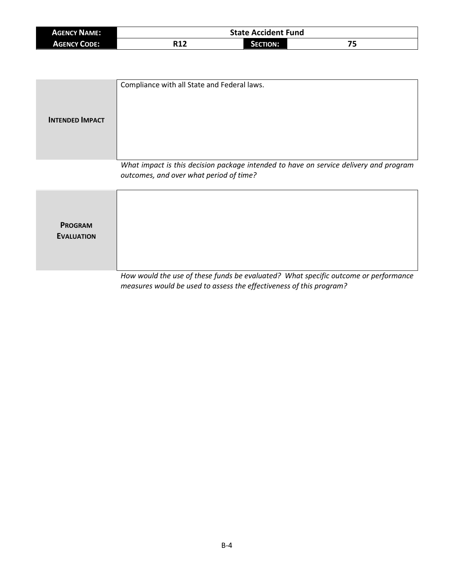| <b>AGENCY NAME:</b> | <b>State Accident Fund</b> |               |     |
|---------------------|----------------------------|---------------|-----|
| <b>AGENCY CODE:</b> | n1 1<br>៶⊥∠                | <b>CTION:</b> | - 1 |

| <b>INTENDED IMPACT</b> | Compliance with all State and Federal laws.                                                                                      |
|------------------------|----------------------------------------------------------------------------------------------------------------------------------|
|                        | What impact is this decision package intended to have on service delivery and program<br>outcomes, and over what period of time? |
| <b>PROGRAM</b>         |                                                                                                                                  |

**EVALUATION**

*How would the use of these funds be evaluated? What specific outcome or performance measures would be used to assess the effectiveness of this program?*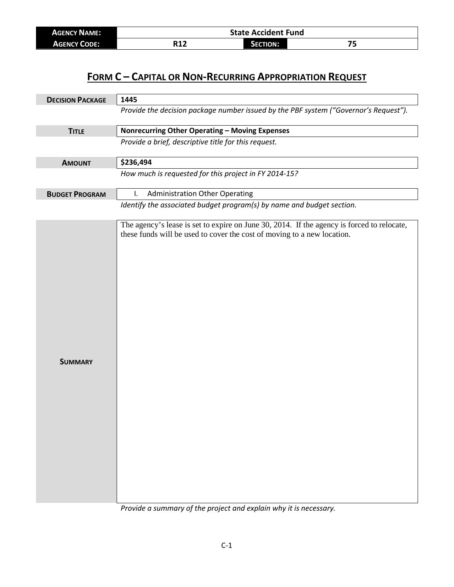| <b>AGENCY NAME:</b> | <b>State Accident Fund</b> |          |    |
|---------------------|----------------------------|----------|----|
| <b>AGENCY CODE:</b> | R12                        | Section: | -- |

## **FORM C – CAPITAL OR NON-RECURRING APPROPRIATION REQUEST**

| <b>DECISION PACKAGE</b> | 1445                                                                                                                                                                  |  |  |
|-------------------------|-----------------------------------------------------------------------------------------------------------------------------------------------------------------------|--|--|
|                         | Provide the decision package number issued by the PBF system ("Governor's Request").                                                                                  |  |  |
| <b>TITLE</b>            | Nonrecurring Other Operating - Moving Expenses                                                                                                                        |  |  |
|                         | Provide a brief, descriptive title for this request.                                                                                                                  |  |  |
| <b>AMOUNT</b>           | \$236,494                                                                                                                                                             |  |  |
|                         | How much is requested for this project in FY 2014-15?                                                                                                                 |  |  |
| <b>BUDGET PROGRAM</b>   | <b>Administration Other Operating</b><br>I.                                                                                                                           |  |  |
|                         | Identify the associated budget program(s) by name and budget section.                                                                                                 |  |  |
| <b>SUMMARY</b>          | The agency's lease is set to expire on June 30, 2014. If the agency is forced to relocate,<br>these funds will be used to cover the cost of moving to a new location. |  |  |

*Provide a summary of the project and explain why it is necessary.*